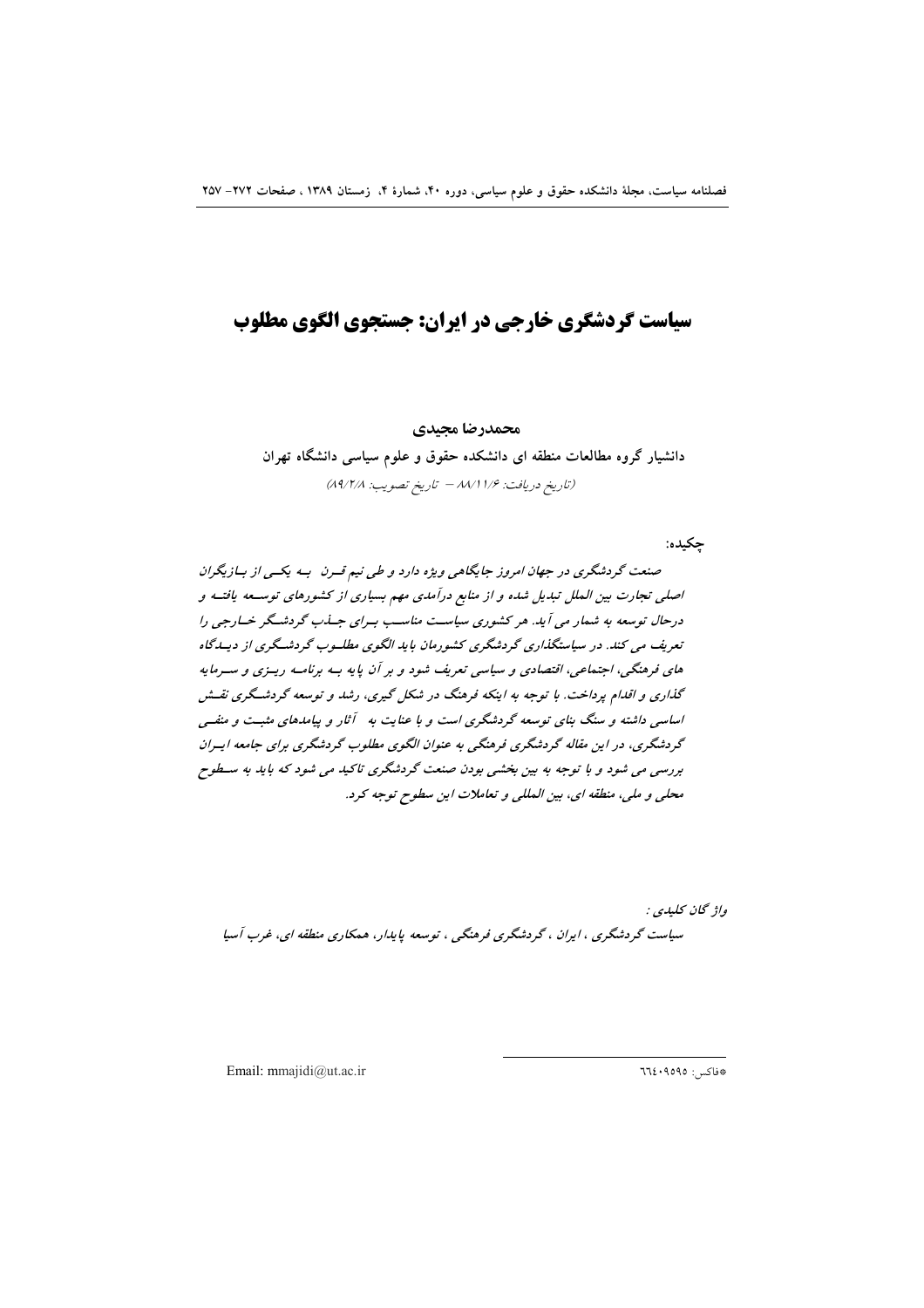# سیاست گردشگری خارجی در ایران: جستجوی الگوی مطلوب

محمدرضا مجيدي دانشیار گروه مطالعات منطقه ای دانشکده حقوق و علوم سیاسی دانشگاه تهران (تاريخ دريافت: ١/٢ ٨٨/١ - تاريخ تصويب: ٨٩/٢/٨)

جكيده:

صنعت گردشگری در جهان امروز جایگاهی ویژه دارد و طی نیم قسرن بسه یکسی از بازیگران اصلی تجارت بین الملل تبدیل شده و از منابع درآمدی مهم بسیاری از کشورهای توسعه یافتـه و درحال توسعه به شمار می آید. هر کشوری سیاست مناسب به رای جهذب گردشگر خسارجی را تعریف می کند. در سیاستگذاری گردشگری کشورمان باید الگوی مطلسوب گردشگری از دیساگاه های فرهنگی، اجتماعی، اقتصادی و سیاسی تعریف شود و بر آن پایه بـه برنامـه ریـزی و سـرمایه گذاری و اقدام پرداخت. با توجه به اینکه فرهنگ در شکل گیری، رشد و توسعه گردشگری نقسش اساسی داشته و سنگ بنای توسعه گردشگری است و با عنایت به آثار و پیامدهای مثبت و منفـی گردشگری، در این مقاله گردشگری فرهنگی به عنوان الگوی مطلوب گردشگری برای جامعه ایسران بررسی می شود و با توجه به بین بخشی بودن صنعت گردشگری تاکید می شود که باید به سـطوح محلي و ملي، منطقه اي، بين المللي و تعاملات اين سطوح توجه كرد.

واژ گان کليدي : سیاست گردشگری ، ایران ، گردشگری فرهنگی ، توسعه پایدار، همکاری منطقه ای، غرب آسیا

Email: mmajidi@ut.ac.ir

\*فاكس: ٩٥٩٥: ٦٦٤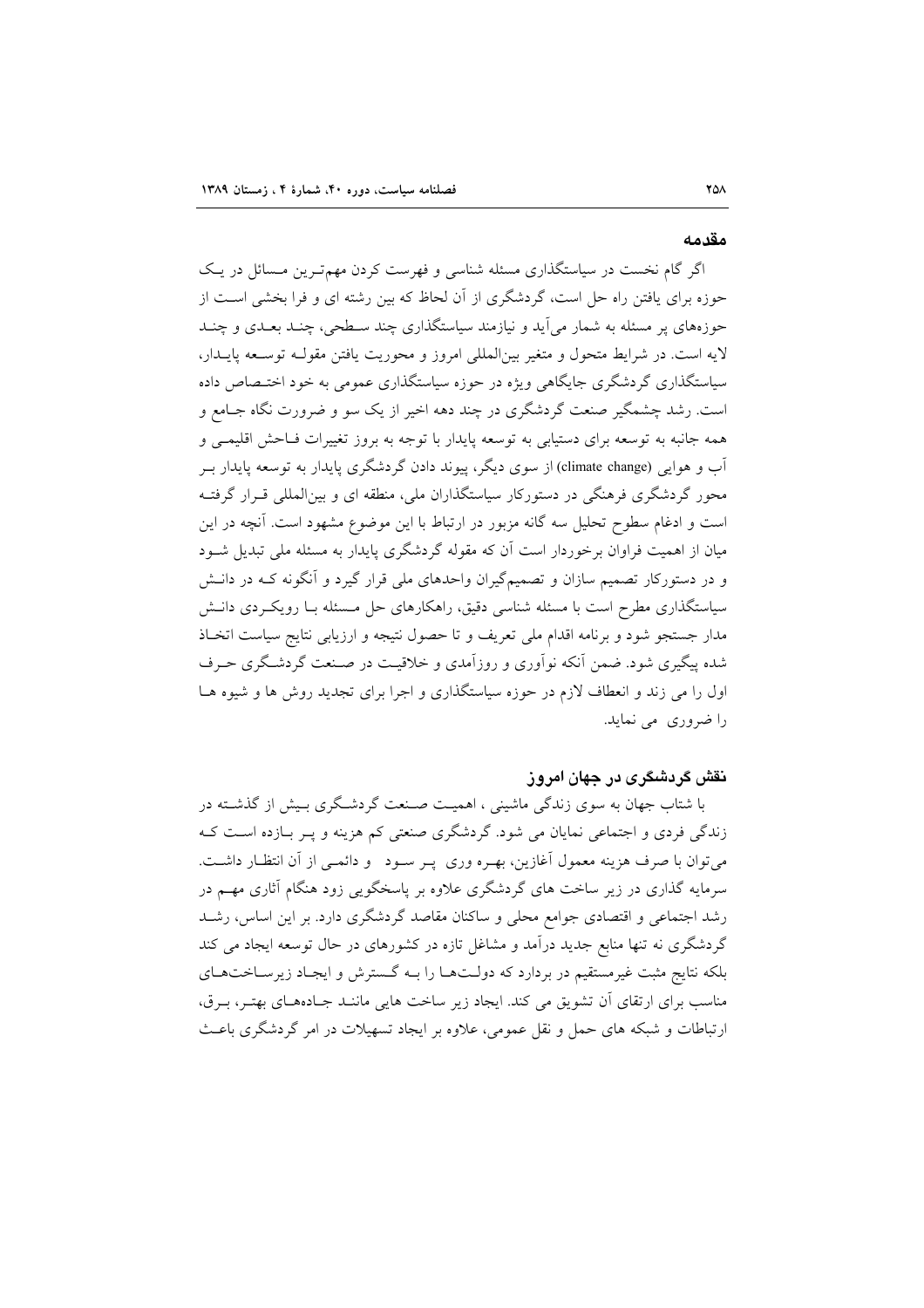#### مقدمه

اگر گام نخست در سیاستگذاری مسئله شناسی و فهرست کردن مهم تـرین مـسائل در یـک حوزه برای یافتن راه حل است، گردشگری از آن لحاظ که بین رشته ای و فرا بخشی است از حوزههای پر مسئله به شمار می آید و نیازمند سیاستگذاری چند سـطحی، چنـد بعـدی و چنـد لايه است. در شرايط متحول و متغير بينالمللي امروز و محوريت يافتن مقولـه توسـعه پايــدار، سیاستگذاری گردشگری جایگاهی ویژه در حوزه سیاستگذاری عمومی به خود اختـصاص داده است. رشد چشمگیر صنعت گردشگری در چند دهه اخیر از یک سو و ضرورت نگاه جـامع و همه جانبه به توسعه برای دستیابی به توسعه پایدار با توجه به بروز تغییرات فـاحش اقلیمــی و آب و هوایی (climate change) از سوی دیگر، پیوند دادن گردشگری پایدار به توسعه پایدار بـر محور گردشگری فرهنگی در دستورکار سیاستگذاران ملی، منطقه ای و بینالمللی قـرار گرفتـه است و ادغام سطوح تحلیل سه گانه مزبور در ارتباط با این موضوع مشهود است. آنچه در این میان از اهمیت فراوان برخوردار است آن که مقوله گردشگری پایدار به مسئله ملی تبدیل شـود و در دستورکار تصمیم سازان و تصمیمگیران واحدهای ملی قرار گیرد و آنگونه کـه در دانـش سیاستگذاری مطرح است با مسئله شناسی دقیق، راهکارهای حل مـسئله بـا رویکـردی دانـش مدار جستجو شود و برنامه اقدام ملی تعریف و تا حصول نتیجه و ارزیابی نتایج سیاست اتخـاذ شده پیگیری شود. ضمن آنکه نوآوری و روزآمدی و خلاقیت در صـنعت گردشـگری حـرف اول را می زند و انعطاف لازم در حوزه سیاستگذاری و اجرا برای تجدید روش ها و شیوه هـا را ضروری می نماید.

# نقش گردشگری در جهان امروز

با شتاب جهان به سوی زندگی ماشینی ، اهمیـت صـنعت گردشـگری بـیش از گذشـته در زندگی فردی و اجتماعی نمایان می شود. گردشگری صنعتی کم هزینه و پـر بـازده اسـت کـه میتوان با صرف هزینه معمول آغازین، بهـره وری پـر سـود و دائمـی از آن انتظـار داشـت. سرمایه گذاری در زیر ساخت های گردشگری علاوه بر پاسخگویی زود هنگام آثاری مهـم در رشد اجتماعی و اقتصادی جوامع محلی و ساکنان مقاصد گردشگری دارد. بر این اساس، رشـد گردشگری نه تنها منابع جدید درآمد و مشاغل تازه در کشورهای در حال توسعه ایجاد می کند بلکه نتایج مثبت غیرمستقیم در بردارد که دولـتهـا را بـه گـسترش و ایجـاد زیرسـاختهـای مناسب برای ارتقای آن تشویق می کند. ایجاد زیر ساخت هایی ماننـد جـادههـای بهتـر، بـرق، ارتباطات و شبکه های حمل و نقل عمومی، علاوه بر ایجاد تسهیلات در امر گردشگری باعث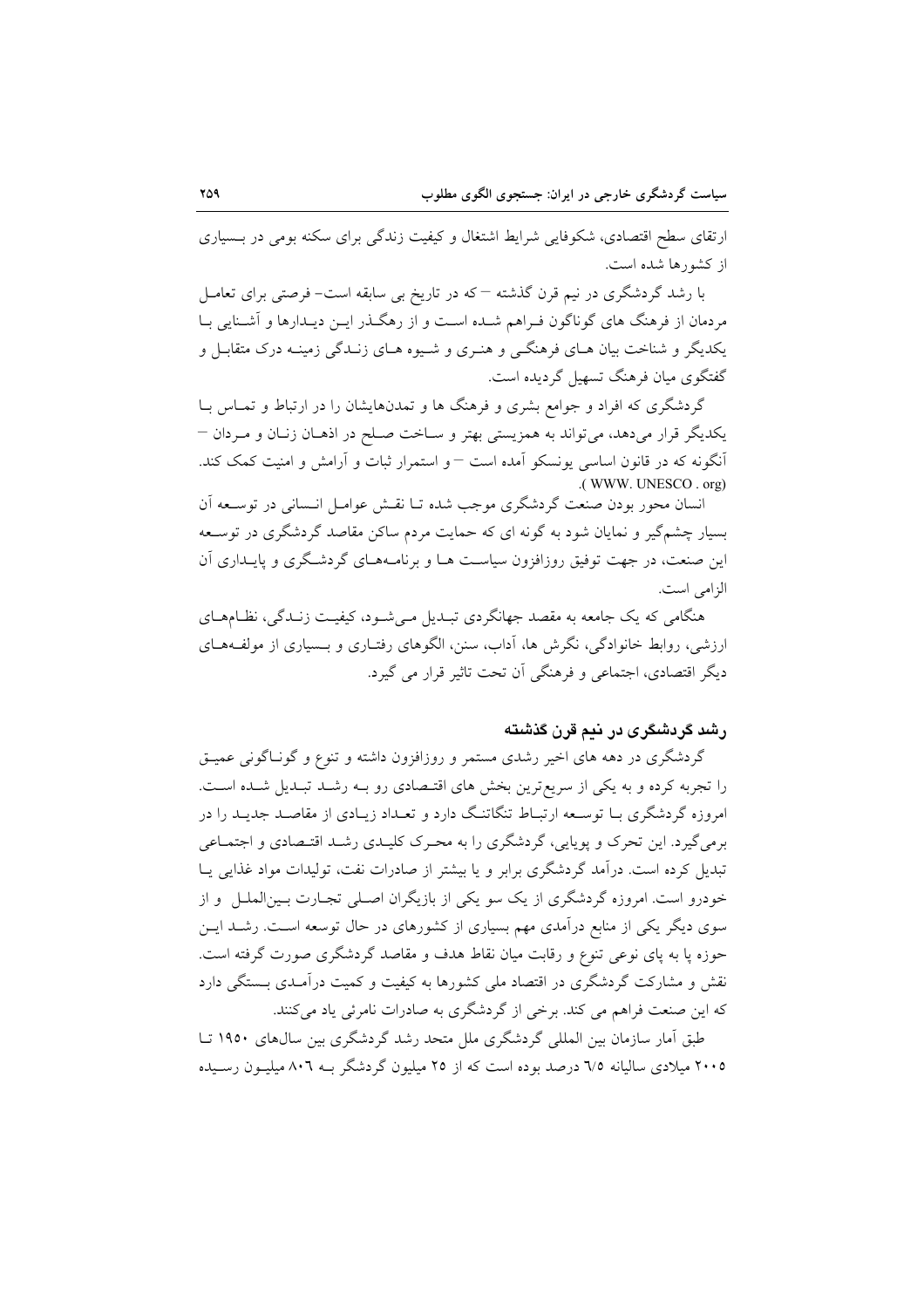ارتقای سطح اقتصادی، شکوفایی شرایط اشتغال و کیفیت زندگی برای سکنه بومی در بسیاری از کشورها شده است.

با رشد گردشگری در نیم قرن گذشته <sup>—</sup> که در تاریخ بی سابقه است- فرصتی برای تعامـل مردمان از فرهنگ های گوناگون فـراهم شـده اسـت و از رهگـذر ایـن دیـدارها و آشـنایی بـا یکدیگر و شناخت بیان هـای فرهنگــی و هنـری و شــیوه هـای زنــدگی زمینــه درک متقابــل و گفتگوی میان فرهنگ تسهیل گردیده است.

گردشگری که افراد و جوامع بشری و فرهنگ ها و تمدنهایشان را در ارتباط و تمـاس بـا يکديگر قرار مي دهد، مي تواند به همزيستي بهتر و سـاخت صـلح در اذهـان زنـان و مـردان – أنگونه که در قانون اساسی یونسکو آمده است – و استمرار ثبات و آرامش و امنیت کمک کند. .(WWW. UNESCO. org)

انسان محور بودن صنعت گردشگری موجب شده تـا نقـش عوامـل انـسانی در توسـعه آن بسیار چشمگیر و نمایان شود به گونه ای که حمایت مردم ساکن مقاصد گردشگری در توسـعه این صنعت، در جهت توفیق روزافزون سیاست هـا و برنامـههـای گردشـگری و پایــداری آن الزامي است.

هنگامی که یک جامعه به مقصد جهانگردی تبـدیل مـیشـود، کیفیـت زنـدگی، نظـامهـای ارزشی، روابط خانوادگی، نگرش ها، آداب، سنن، الگوهای رفتـاری و بــسیاری از مولفـههـای دیگر اقتصادی، اجتماعی و فرهنگی آن تحت تاثیر قرار می گیرد.

#### رشد گردشگری در نیم قرن گذشته

گردشگری در دهه های اخیر رشدی مستمر و روزافزون داشته و تنوع و گونـاگونی عمیـق را تجربه کرده و به یکی از سریعترین بخش های اقتـصادی رو بــه رشــد تبــدیل شــده اســت. امروزه گردشگری بـا توسـعه ارتبـاط تنگاتنـگ دارد و تعـداد زيـادي از مقاصـد جديـد را در برمیگیرد. این تحرک و پویایی، گردشگری را به محـرک کلیـدی رشـد اقتـصادی و اجتمـاعی تبدیل کرده است. درآمد گردشگری برابر و یا بیشتر از صادرات نفت، تولیدات مواد غذایی یـا خودرو است. امروزه گردشگری از یک سو یکی از بازیگران اصـلی تجـارت بـین|لملــل و از سوی دیگر یکی از منابع درآمدی مهم بسیاری از کشورهای در حال توسعه است. رشـد ایــن حوزه یا به پای نوعی تنوع و رقابت میان نقاط هدف و مقاصد گردشگری صورت گرفته است. نقش و مشارکت گردشگری در اقتصاد ملی کشورها به کیفیت و کمیت درآمـدی بـستگی دارد که این صنعت فراهم می کند. برخی از گردشگری به صادرات نامرئی یاد میکنند.

طبق آمار سازمان بین المللی گردشگری ملل متحد رشد گردشگری بین سالهای ۱۹۵۰ تــا ۲۰۰۵ میلادی سالیانه ۷۵ درصد بوده است که از ۲۵ میلیون گردشگر بـه ۸۰٦ میلیـون رسـیده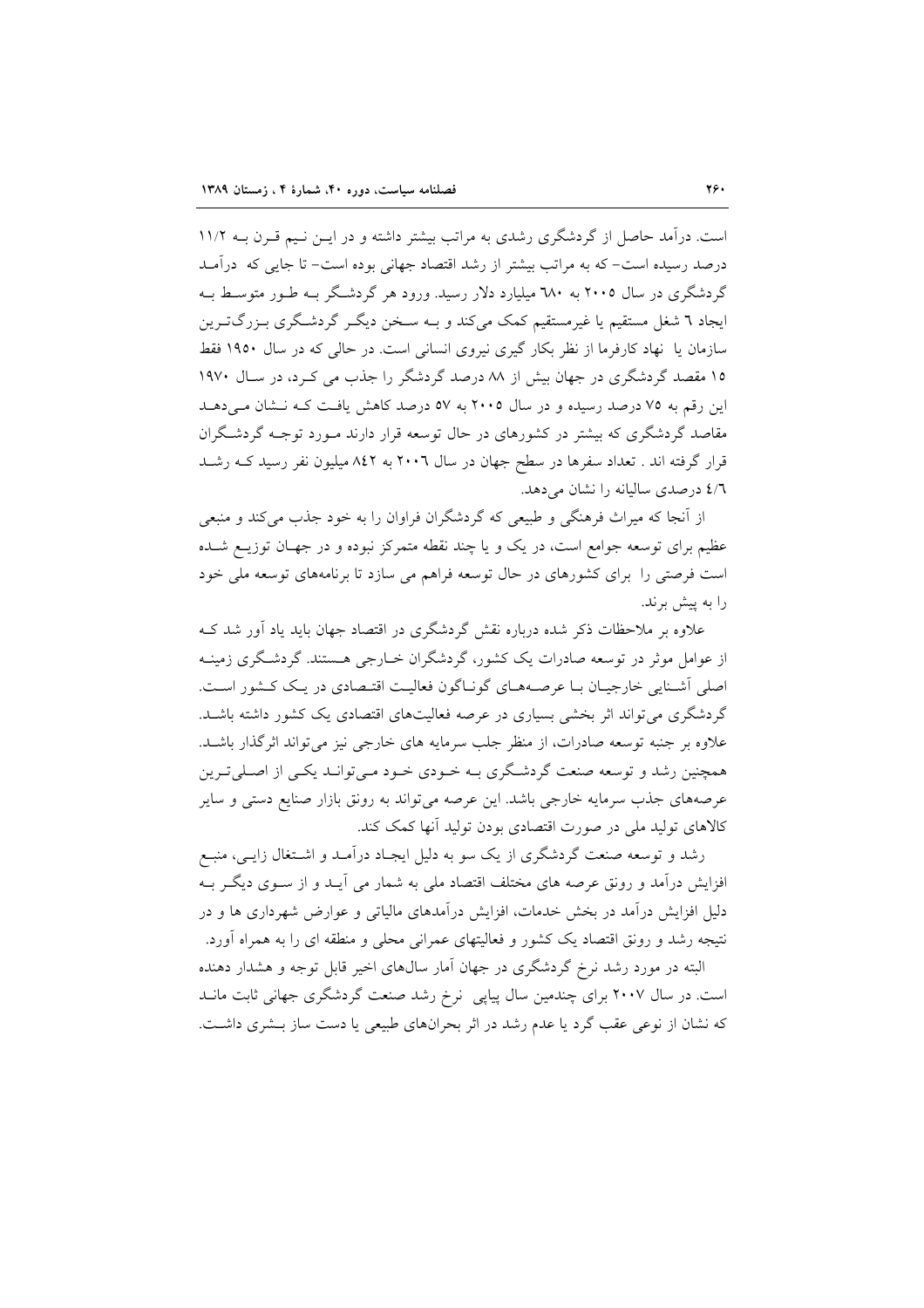است. درآمد حاصل از گردشگری رشدی به مراتب بیشتر داشته و در ایـن نـیم قـرن بـه ۱۱/۲ درصد رسیده است- که به مراتب بیشتر از رشد اقتصاد جهانی بوده است- تا جایی که ً درآمـد گردشگری در سال ۲۰۰۵ به ۲۸۰ میلیارد دلار رسید. ورود هر گردشگر بـه طـور متوسـط بـه ایجاد ٦ شغل مستقیم یا غیرمستقیم کمک میکند و بـه سـخن دیگـر گردشـگری بـزرگ<code>تـرین</code> سازمان یا نهاد کارفرما از نظر بکار گیری نیروی انسانی است. در حالی که در سال ۱۹۵۰ فقط ۱۵ مقصد گردشگری در جهان بیش از ۸۸ درصد گردشگر را جذب می کـرد، در سـال ۱۹۷۰ این رقم به ۷۵ درصد رسیده و در سال ۲۰۰۵ به ۵۷ درصد کاهش یافت کـه نـشان مـی دهـد مقاصد گردشگری که بیشتر در کشورهای در حال توسعه قرار دارند مـورد توجـه گردشـگران قرار گرفته اند . تعداد سفرها در سطح جهان در سال ۲۰۰٦ به ۸٤۲ میلیون نفر رسید کـه رشـد ٤/٦ درصدي ساليانه را نشان مي دهد.

از آنجا که میراث فرهنگی و طبیعی که گردشگران فراوان را به خود جذب می کند و منبعی عظیم برای توسعه جوامع است، در یک و یا چند نقطه متمرکز نبوده و در جهـان توزیــع شــده است فرصتی را برای کشورهای در حال توسعه فراهم می سازد تا برنامههای توسعه ملی خود را به پیش برند.

علاوه بر ملاحظات ذکر شده درباره نقش گردشگری در اقتصاد جهان باید یاد آور شد ک از عوامل موثر در توسعه صادرات یک کشور، گردشگران خــارجی هــستند. گردشــگری زمینــه اصلی آشنایی خارجیان با عرصههای گوناگون فعالیت اقتصادی در یک کشور است. گردشگری می تواند اثر بخشی بسیاری در عرصه فعالیتهای اقتصادی یک کشور داشته باشـد. علاوه بر جنبه توسعه صادرات، از منظر جلب سرمایه های خارجی نیز میتواند اثرگذار باشــد. همچنین رشد و توسعه صنعت گردشگری بـه خـودی خـود مـیتوانـد یکـی از اصـلیتـرین عرصههای جذب سرمایه خارجی باشد. این عرصه میتواند به رونق بازار صنایع دستی و سایر کالاهای تولید ملی در صورت اقتصادی بودن تولید آنها کمک کند.

رشد و توسعه صنعت گردشگری از یک سو به دلیل ایجـاد درآمـد و اشـتغال زایـبی، منبـع افزایش درآمد و رونق عرصه های مختلف اقتصاد ملی به شمار می آیــد و از ســوی دیگــر بــه دلیل افزایش در آمد در بخش خدمات، افزایش در آمدهای مالیاتی و عوارض شهرداری ها و در نتیجه رشد و رونق اقتصاد یک کشور و فعالیتهای عمرانی محلی و منطقه ای را به همراه آورد.

البته در مورد رشد نرخ گردشگری در جهان آمار سالهای اخیر قابل توجه و هشدار دهنده است. در سال ۲۰۰۷ برای چندمین سال پیاپی نرخ رشد صنعت گردشگری جهانی ثابت مانـد که نشان از نوعی عقب گرد یا عدم رشد در اثر بحرانهای طبیعی یا دست ساز بـشری داشـت.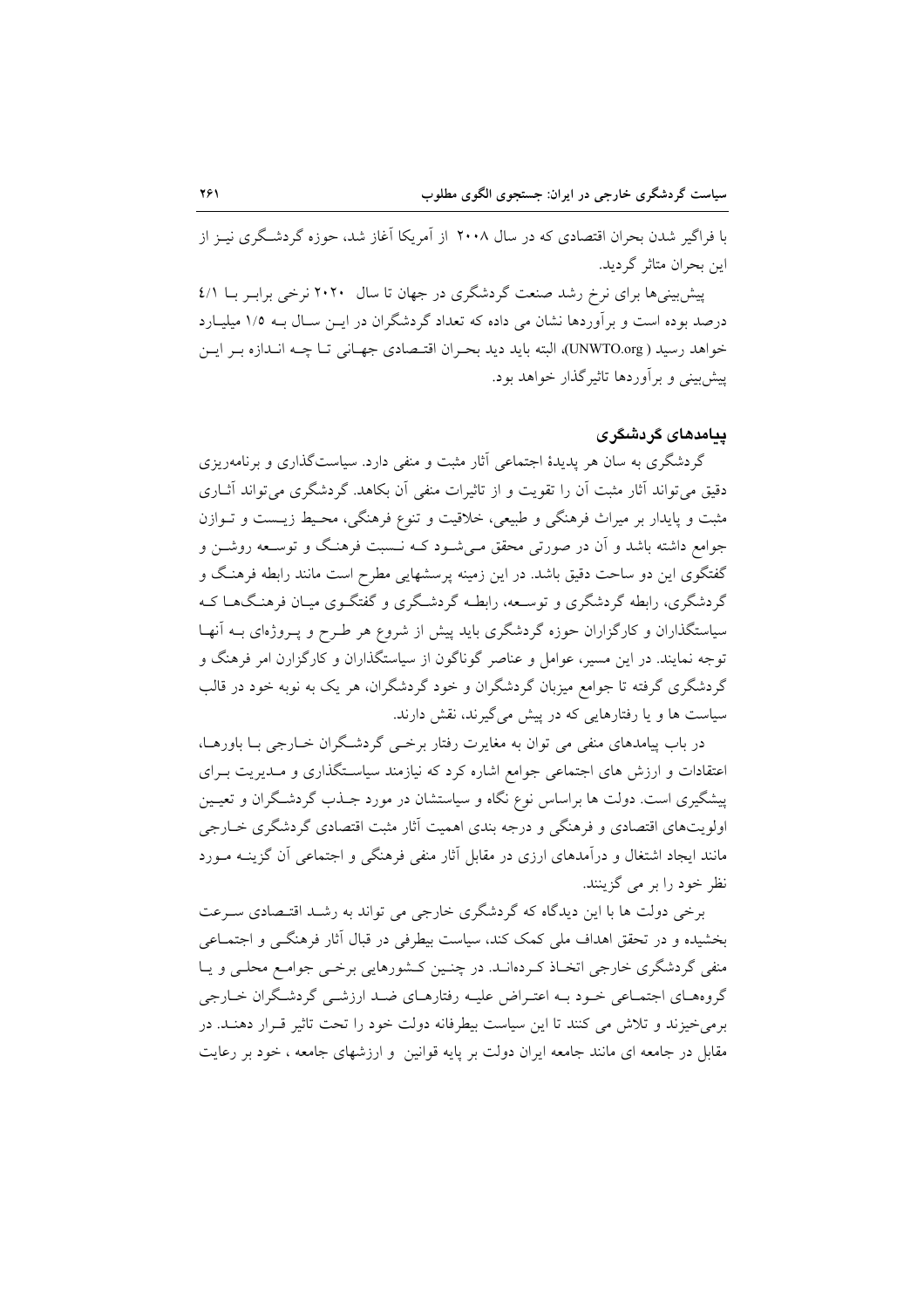با فراگیر شدن بحران اقتصادی که در سال ۲۰۰۸ از آمریکا آغاز شد، حوزه گردشگری نیـز از ابن بحران متاثر گردید.

پیش بینی ها برای نرخ رشد صنعت گردشگری در جهان تا سال ۲۰۲۰ نرخی برابر با ٤/١ درصد بوده است و برآوردها نشان می داده که تعداد گردشگران در ایــن سـال بــه ۱/۵ میلیــارد خواهد رسيد ( UNWTO.org)، البته بايد ديد بحران اقتـصادي جهـاني تـا چــه انــدازه بــر ايــن پیش بینی و بر آوردها تاثیر گذار خواهد بود.

# بېامډهای گړ ډشگر ی

گردشگری به سان هر پدیدهٔ اجتماعی آثار مثبت و منفی دارد. سیاستگذاری و برنامهریزی دقیق می تواند آثار مثبت آن را تقویت و از تاثیرات منفی آن بکاهد. گردشگری می تواند آثــاری مثبت و پایدار بر میراث فرهنگی و طبیعی، خلاقیت و تنوع فرهنگی، محیط زیست و تـوازن جوامع داشته باشد و آن در صورتی محقق مـیشـود کــه نــسبت فرهنـگ و توســعه روشــن و گفتگوی این دو ساحت دقیق باشد. در این زمینه پرسشهایی مطرح است مانند رابطه فرهنگ و گردشگری، رابطه گردشگری و توسـعه، رابطـه گردشـگری و گفتگـوی میـان فرهنـگـهـا کـه سیاستگذاران و کارگزاران حوزه گردشگری باید پیش از شروع هر طـرح و پـروژهای بـه آنهـا توجه نمایند. در این مسیر، عوامل و عناصر گوناگون از سیاستگذاران و کارگزارن امر فرهنگ و گردشگری گرفته تا جوامع میزبان گردشگران و خود گردشگران، هر یک به نوبه خود در قالب سیاست ها و یا رفتارهایی که در پیش میگیرند، نقش دارند.

در باب پیامدهای منفی می توان به مغایرت رفتار برخبی گردشگران خبارجی بـا باورهـا، اعتقادات و ارزش های اجتماعی جوامع اشاره کرد که نیازمند سیاسـتگذاری و مــدیریت بــرای پیشگیری است. دولت ها براساس نوع نگاه و سیاستشان در مورد جــذب گردشــگران و تعیــین اولویتهای اقتصادی و فرهنگی و درجه بندی اهمیت آثار مثبت اقتصادی گردشگری خــارجی مانند ایجاد اشتغال و درآمدهای ارزی در مقابل آثار منفی فرهنگی و اجتماعی آن گزینـه مـورد نظ خود را بر مي گزينند.

برخی دولت ها با این دیدگاه که گردشگری خارجی می تواند به رشـد اقتـصادی سـرعت بخشیده و در تحقق اهداف ملی کمک کند، سیاست بیطرفی در قبال آثار فرهنگـی و اجتمـاعی منفی گردشگری خارجی اتخـاذ کـردهانـد. در چنـین کـشورهایی برخـی جوامـع محلـی و یـا گروههای اجتمـاعی خـود بـه اعتـراض علیـه رفتارهـای ضـد ارزشـی گردشـگران خـارجی برمی خیزند و تلاش می کنند تا این سیاست بیطرفانه دولت خود را تحت تاثیر قـرار دهنـد. در مقابل در جامعه ای مانند جامعه ایران دولت بر پایه قوانین ًو ارزشهای جامعه ، خود بر رعایت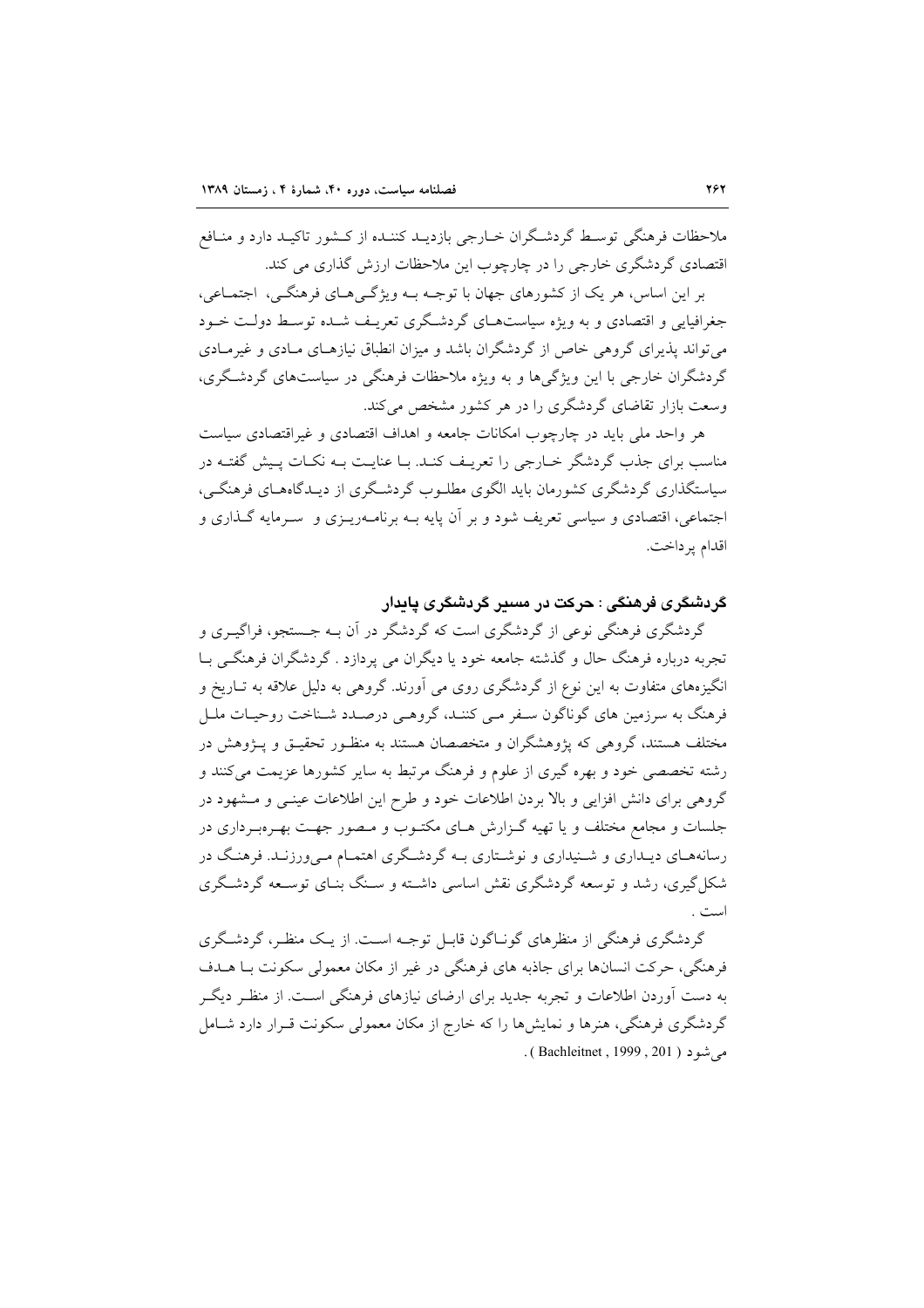ملاحظات فرهنگی توسط گردشگران خبارجی بازدیبد کننیده از کیشور تاکیبد دارد و منبافع اقتصادی گردشگری خارجی را در چارچوب این ملاحظات ارزش گذاری می کند.

بر این اساس، هر یک از کشورهای جهان با توجـه بــه ویژگــیهــای فرهنگــی، اجتمــاعی، جغرافیایی و اقتصادی و به ویژه سیاستهـای گردشـگری تعریـف شـده توسـط دولـت خـود می تواند پذیرای گروهی خاص از گردشگران باشد و میزان انطباق نیازهـای مـادی و غیرمـادی گردشگران خارجی با این ویژگی ها و به ویژه ملاحظات فرهنگی در سیاستهای گردشگری، وسعت بازار تقاضای گردشگری را در هر کشور مشخص می کند.

هر واحد ملي بايد در چارچوب امكانات جامعه و اهداف اقتصادي و غيراقتصادي سياست مناسب برای جذب گردشگر خـارجی را تعریـف کنـد. بـا عنایـت بـه نکـات پـیش گفتـه در سیاستگذاری گردشگری کشورمان باید الگوی مطلـوب گردشـگری از دیـدگاههـای فرهنگـی، اجتماعی، اقتصادی و سیاسی تعریف شود و بر آن پایه بــه برنامــهریــزی و ســرمایه گــذاری و اقدام پرداخت.

# گردشگری فرهنگی : حرکت در مسیر گردشگری یابدار

گردشگری فرهنگی نوعی از گردشگری است که گردشگر در آن بـه جـستجو، فراگیــری و تجربه درباره فرهنگ حال و گذشته جامعه خود یا دیگران می پردازد . گردشگران فرهنگی بــا انگیزههای متفاوت به این نوع از گردشگری روی می آورند. گروهی به دلیل علاقه به تــاریخ و فرهنگ به سرزمین های گوناگون سـفر مـي كننـد، گروهـي درصـدد شـناخت روحيـات ملـل مختلف هستند، گروهی که پژوهشگران و متخصصان هستند به منظـور تحقیـق و پـژوهش در رشته تخصصی خود و بهره گیری از علوم و فرهنگ مرتبط به سایر کشورها عزیمت میکنند و گروهی برای دانش افزایی و بالا بردن اطلاعات خود و طرح این اطلاعات عینـی و مـشهود در جلسات و مجامع مختلف و یا تهیه گـزارش هـای مکتـوب و مـصور جهـت بهـرهبـرداری در رسانههـای دیـداری و شــنیداری و نوشــتاری بــه گردشــگری اهتمـام مــیورزنــد. فرهنـگ در شکل گیری، رشد و توسعه گردشگری نقش اساسی داشته و سنگ بنیای توسیعه گردشگری است .

گردشگری فرهنگی از منظرهای گونـاگون قابـل توجـه اسـت. از یـک منظـر، گردشـگری فرهنگی، حرکت انسانها برای جاذبه های فرهنگی در غیر از مکان معمولی سکونت بـا هــدف به دست آوردن اطلاعات و تجربه جدید برای ارضای نیازهای فرهنگی اسـت. از منظـر دیگـر گردشگری فرهنگی، هنرها و نمایشها را که خارج از مکان معمولی سکونت قـرار دارد شـامل مه شدد ( Bachleitnet , 1999 , 201 ) .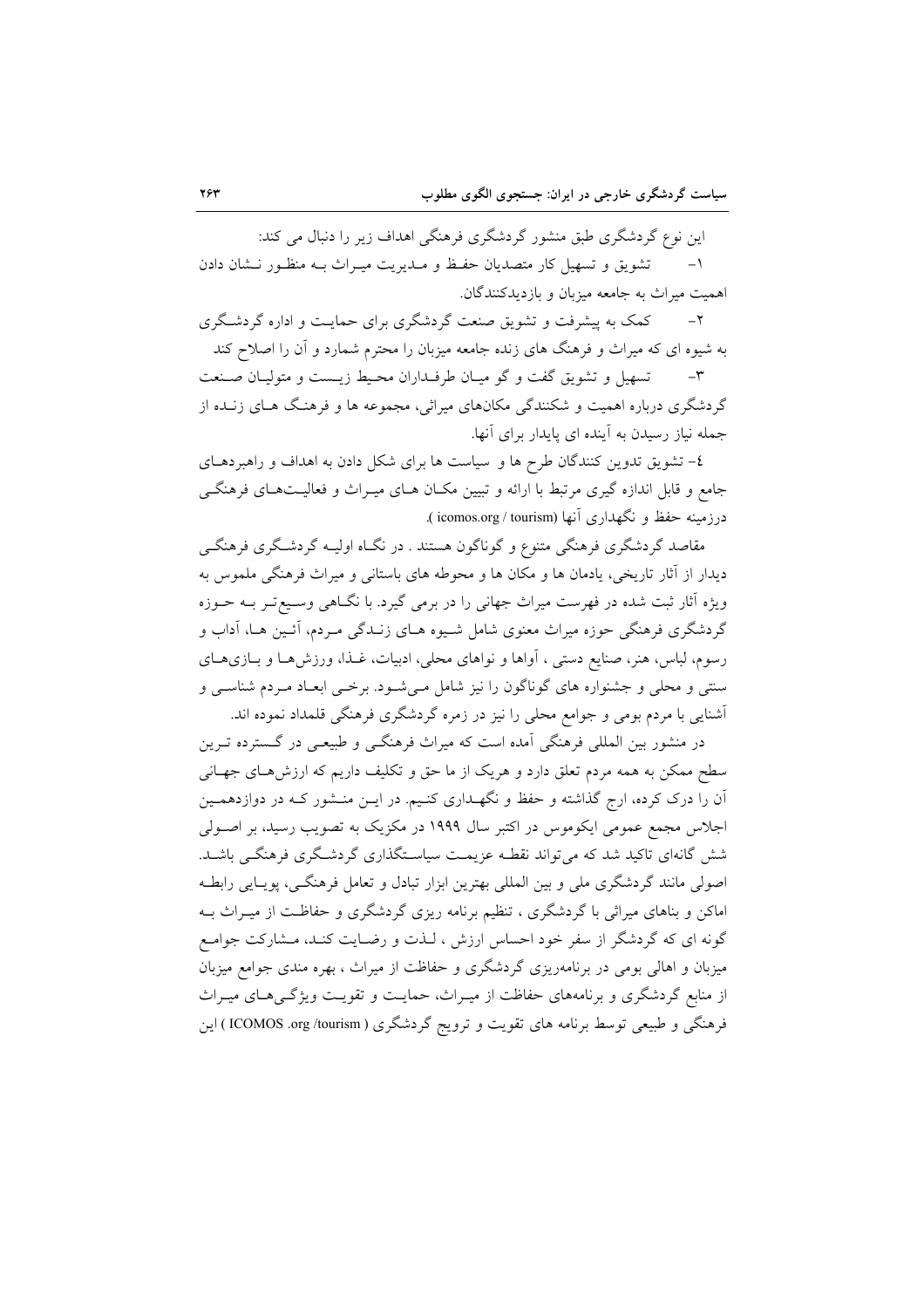این نوع گردشگری طبق منشور گردشگری فرهنگی اهداف زیر را دنبال می کند:

تشویق و تسهیل کار متصدیان حفظ و مـدیریت میـراث بـه منظـور نـشان دادن اهميت ميراث به جامعه ميزبان و بازديدكنندگان.

کمک به پیشرفت و تشویق صنعت گردشگری برای حمایـت و اداره گردشـگری  $-\tau$ به شیوه ای که میراث و فرهنگ های زنده جامعه میزبان را محترم شمارد و آن را اصلاح کند

تسهیل و تشویق گفت و گو میـان طرفـداران محـیط زیـست و متولیـان صـنعت  $-\tau$ گردشگری درباره اهمیت و شکنندگی مکانهای میراثی، مجموعه ها و فرهنگ هـای زنـده از جمله نیاز رسیدن به آینده ای پایدار برای آنها.

٤- تشویق تدوین کنندگان طرح ها و سیاست ها برای شکل دادن به اهداف و راهبردهـای جامع و قابل اندازه گیری مرتبط با ارائه و تبیین مکـان هـای میـراث و فعالیـتهـای فرهنگـی درزمینه حفظ و نگهداری أنها (icomos.org / tourism ).

مقاصد گردشگری فرهنگی متنوع و گوناگون هستند . در نگIه اولیـه گردشـگری فرهنگـی دیدار از آثار تاریخی، یادمان ها و مکان ها و محوطه های باستانی و میراث فرهنگی ملموس به ویژه آثار ثبت شده در فهرست میراث جهانی را در برمی گیرد. با نگـاهی وسـیعتبر بـه حـوزه گردشگری فرهنگی حوزه میراث معنوی شامل شـیوه هـای زنـدگی مـردم، أئـین هـا، آداب و رسوم، لباس، هنر، صنايع دستي ، آواها و نواهاي محلي، ادبيات، غـذا، ورزشهـا و بـازيهـاي سنتی و محلی و جشنواره های گوناگون را نیز شامل میشود. برخـی ابعـاد مـردم شناسـی و أشنایی با مردم بومی و جوامع محلی را نیز در زمره گردشگری فرهنگی قلمداد نموده اند.

در منشور بین المللی فرهنگی آمده است که میراث فرهنگـی و طبیعـی در گـسترده تـرین سطح ممکن به همه مردم تعلق دارد و هریک از ما حق و تکلیف داریم که ارزش۵حای جهـانی آن را درک کرده، ارج گذاشته و حفظ و نگهـداری کنـیم. در ایـن منـشور کـه در دوازدهمـین اجلاس مجمع عمومی ایکوموس در اکتبر سال ۱۹۹۹ در مکزیک به تصویب رسید، بر اصـولی شش گانهای تاکید شد که میتواند نقطـه عزیمـت سیاسـتگذاری گردشـگری فرهنگـی باشـد. اصولی مانند گردشگری ملی و بین المللی بهترین ابزار تبادل و تعامل فرهنگی، پویـایی رابطـه .<br>اماکن و بناهای میراثی با گردشگری ، تنظیم برنامه ریزی گردشگری و حفاظـت از میـراث بــه گونه ای که گردشگر از سفر خود احساس ارزش ، لـذت و رضـایت کنـد، مـشارکت جوامـع میزبان و اهالی بومی در برنامهریزی گردشگری و حفاظت از میراث ، بهره مندی جوامع میزبان از منابع گردشگری و برنامههای حفاظت از میـراث، حمایـت و تقویـت ویژگـیهـای میـراث فرهنگی و طبیعی توسط برنامه های تقویت و ترویج گردشگری ( ICOMOS .org /tourism ) این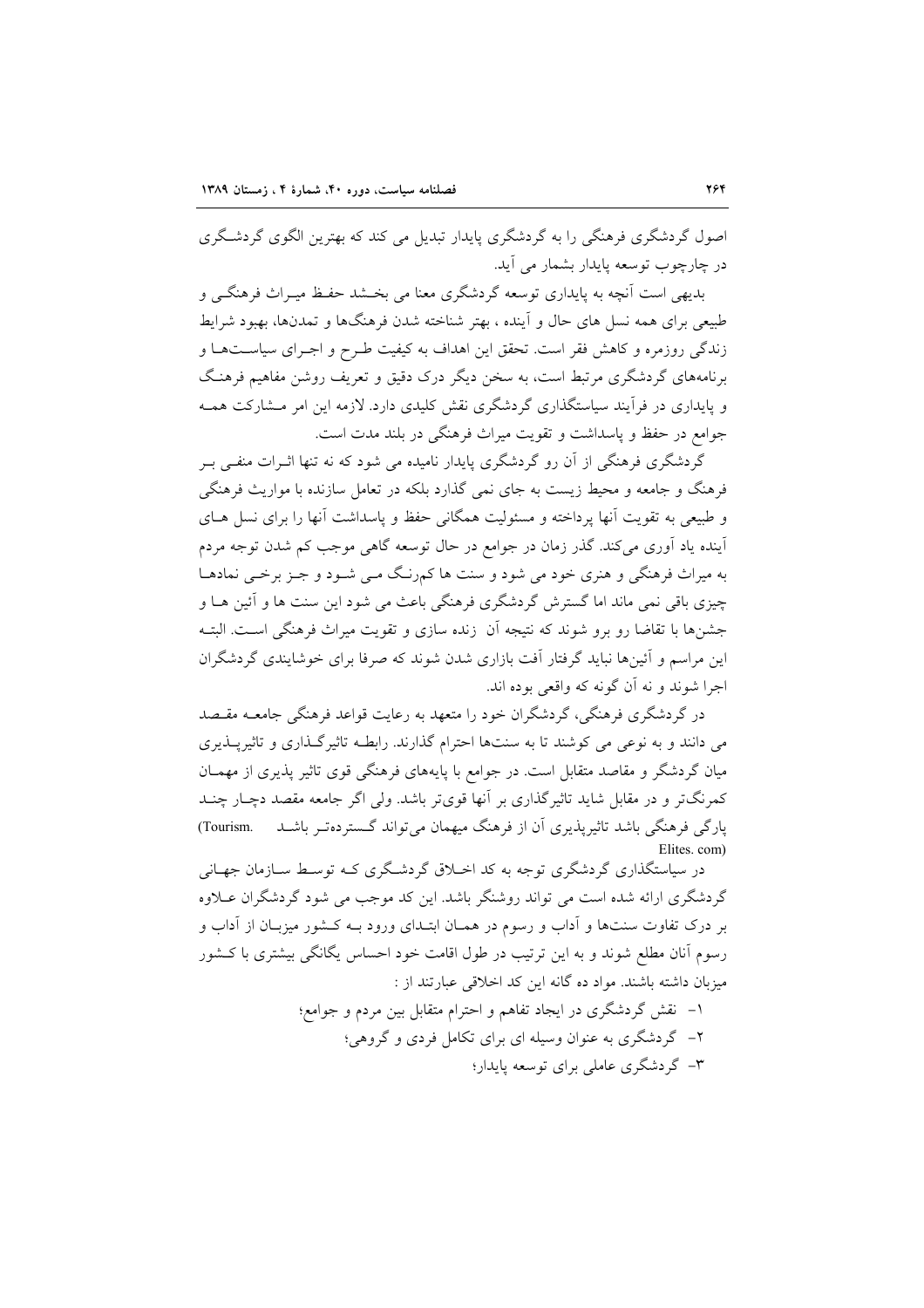اصول گردشگری فرهنگی را به گردشگری پایدار تبدیل می کند که بهترین الگوی گردشگری در چارچوب توسعه بابدار بشمار می آید.

بدیهی است آنچه به پایداری توسعه گردشگری معنا می بخشد حفظ میـراث فرهنگــی و طبیعی برای همه نسل های حال و آینده ، بهتر شناخته شدن فرهنگها و تمدنها، بهبود شرایط زندگی روزمره و کاهش فقر است. تحقق این اهداف به کیفیت طـرح و اجـرای سیاســتهــا و برنامههای گردشگری مرتبط است، به سخن دیگر درک دقیق و تعریف روشن مفاهیم فرهنگ و پایداری در فرآیند سیاستگذاری گردشگری نقش کلیدی دارد. لازمه این امر مـشارکت همـه جوامع در حفظ و پاسداشت و تقویت میراث فرهنگی در بلند مدت است.

گردشگری فرهنگی از آن رو گردشگری پایدار نامیده می شود که نه تنها اثـرات منفـی بـر فرهنگ و جامعه و محیط زیست به جای نمی گذارد بلکه در تعامل سازنده با مواریث فرهنگی و طبیعی به تقویت آنها پرداخته و مسئولیت همگانی حفظ و پاسداشت آنها را برای نسل هـای آینده یاد آوری میکند. گذر زمان در جوامع در حال توسعه گاهی موجب کم شدن توجه مردم به میراث فرهنگی و هنری خود می شود و سنت ها کمرنگ مـی شـود و جـز برخـی نمادهـا چیزی باقی نمی ماند اما گسترش گردشگری فرهنگی باعث می شود این سنت ها و آئین هـا و جشنها با تقاضا رو برو شوند که نتیجه آن زنده سازی و تقویت میراث فرهنگی اسـت. البتـه این مراسم و آئینها نباید گرفتار آفت بازاری شدن شوند که صرفا برای خوشایندی گردشگران اجرا شوند و نه آن گونه که واقعی بوده اند.

در گردشگری فرهنگی، گردشگران خود را متعهد به رعایت قواعد فرهنگی جامعـه مقـصد می دانند و به نوعی می کوشند تا به سنتها احترام گذارند. رابطـه تاثیرگـذاری و تاثیرپـذیری میان گردشگر و مقاصد متقابل است. در جوامع با پایههای فرهنگی قوی تاثیر پذیری از مهمـان کمرنگتر و در مقابل شاید تاثیرگذاری بر آنها قویتر باشد. ولی اگر جامعه مقصد دچـار چنــد پارگی فرهنگی باشد تاثیرپذیری آن از فرهنگ میهمان میتواند گستردهتـر باشـد Tourism. Elites. com)

در سیاستگذاری گردشگری توجه به کد اخبلاق گردشگری کـه توسـط سـازمان جهـانی گردشگری ارائه شده است می تواند روشنگر باشد. این کد موجب می شود گردشگران عــلاوه بر درک تفاوت سنتها و اّداب و رسوم در همـان ابتـدای ورود بـه کـشور میزبـان از اّداب و رسوم آنان مطلع شوند و به این ترتیب در طول اقامت خود احساس یگانگی بیشتری با کـشور میزبان داشته باشند. مواد ده گانه این کد اخلاقی عبارتند از :

> ۱– نقش گردشگری در ایجاد تفاهم و احترام متقابل بین مردم و جوامع؛ ۲– گردشگری به عنوان وسیله ای برای تکامل فردی و گروهی؛ ۳- گردشگری عاملی برای توسعه پایدار؛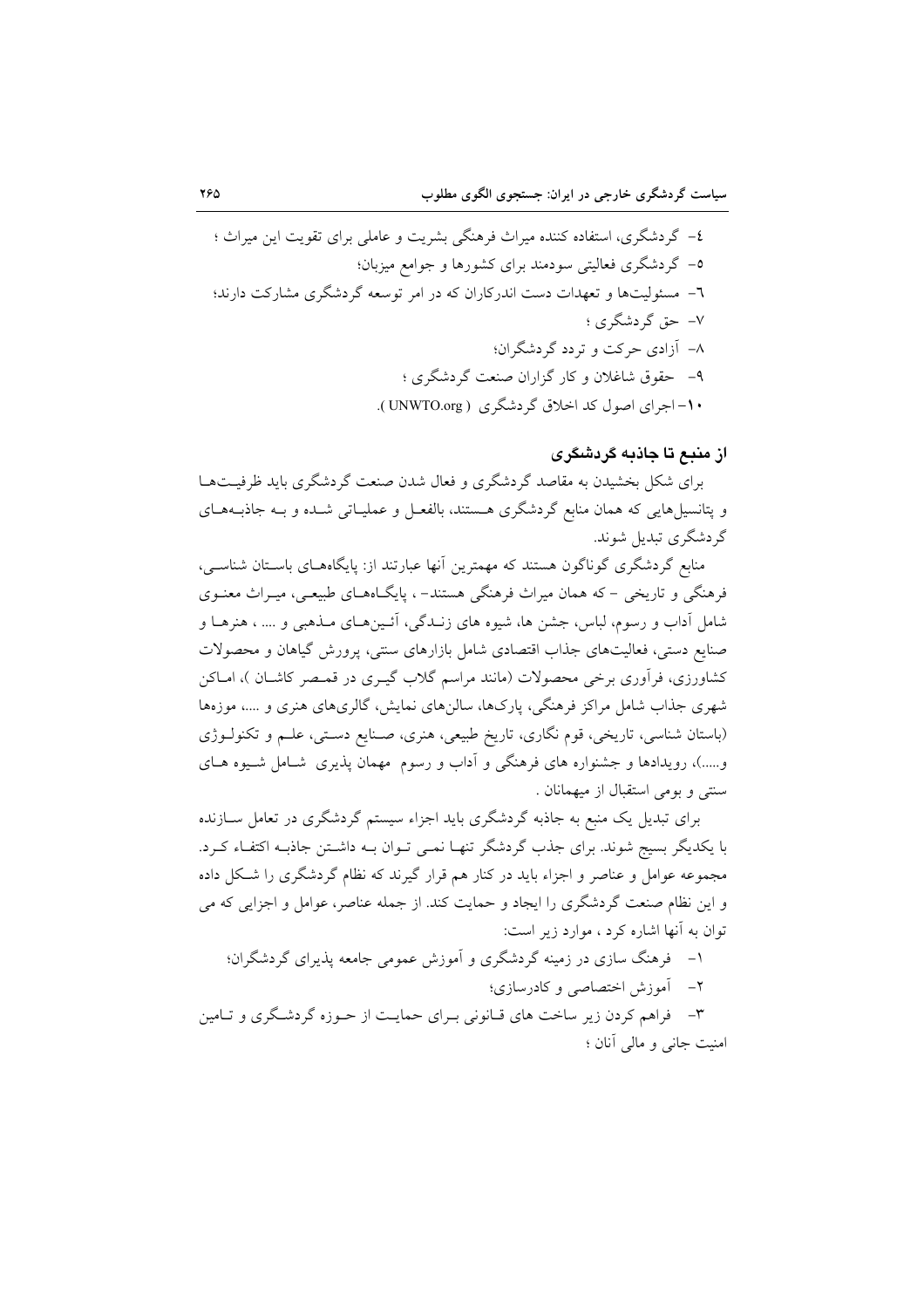از منبع تا جاذبه گردشگری

برای شکل بخشیدن به مقاصد گردشگری و فعال شدن صنعت گردشگری باید ظرفیتها و پتانسیل هایی که همان منابع گردشگری هستند، بالفعـل و عملیـاتی شـده و بـه جاذبـههـای گردشگری تبدیل شوند.

منابع گردشگری گوناگون هستند که مهمترین آنها عبارتند از: پایگاههـای باسـتان شناسـی، فرهنگی و تاریخی – که همان میراث فرهنگی هستند– ، پایگـاههـای طبیعـی، میـراث معنـوی شامل آداب و رسوم، لباس، جشن ها، شیوه های زنـدگی، آئـینهـای مـذهبی و .... ، هنرهـا و صنایع دستی، فعالیتهای جذاب اقتصادی شامل بازارهای سنتی، پرورش گیاهان و محصولات کشاورزی، فرآوری برخی محصولات (مانند مراسم گلاب گیـری در قمـصر کاشـان )، امـاکن شهری جذاب شامل مراکز فرهنگی، پارکها، سالن۵ای نمایش، گالریهای هنری و ….، موزهها (باستان شناسی، تاریخی، قوم نگاری، تاریخ طبیعی، هنری، صـنایع دسـتی، علـم و تکنولـوژی و.....)، رویدادها و جشنواره های فرهنگی و آداب و رسوم مهمان پذیری شـامل شـیوه هـای سنتی و بومی استقبال از میهمانان .

برای تبدیل یک منبع به جاذبه گردشگری باید اجزاء سیستم گردشگری در تعامل ســازنده با یکدیگر بسیج شوند. برای جذب گردشگر تنهـا نمـی تـوان بـه داشـتن جاذبـه اکتفـاء کـرد. مجموعه عوامل و عناصر و اجزاء باید در کنار هم قرار گیرند که نظام گردشگری را شکل داده و این نظام صنعت گردشگری را ایجاد و حمایت کند. از جمله عناصر، عوامل و اجزایی که می توان به آنها اشاره کرد ، موارد زیر است:

۱– فرهنگ سازی در زمینه گردشگری و آموزش عمومی جامعه پذیرای گردشگران؛

٢- أموزش اختصاصي وكادرسازي؛

۳- فراهم کردن زیر ساخت های قبانونی بیرای حمایت از حیوزه گردشگری و تبامین امنیت جانبی و مالی آنان ؛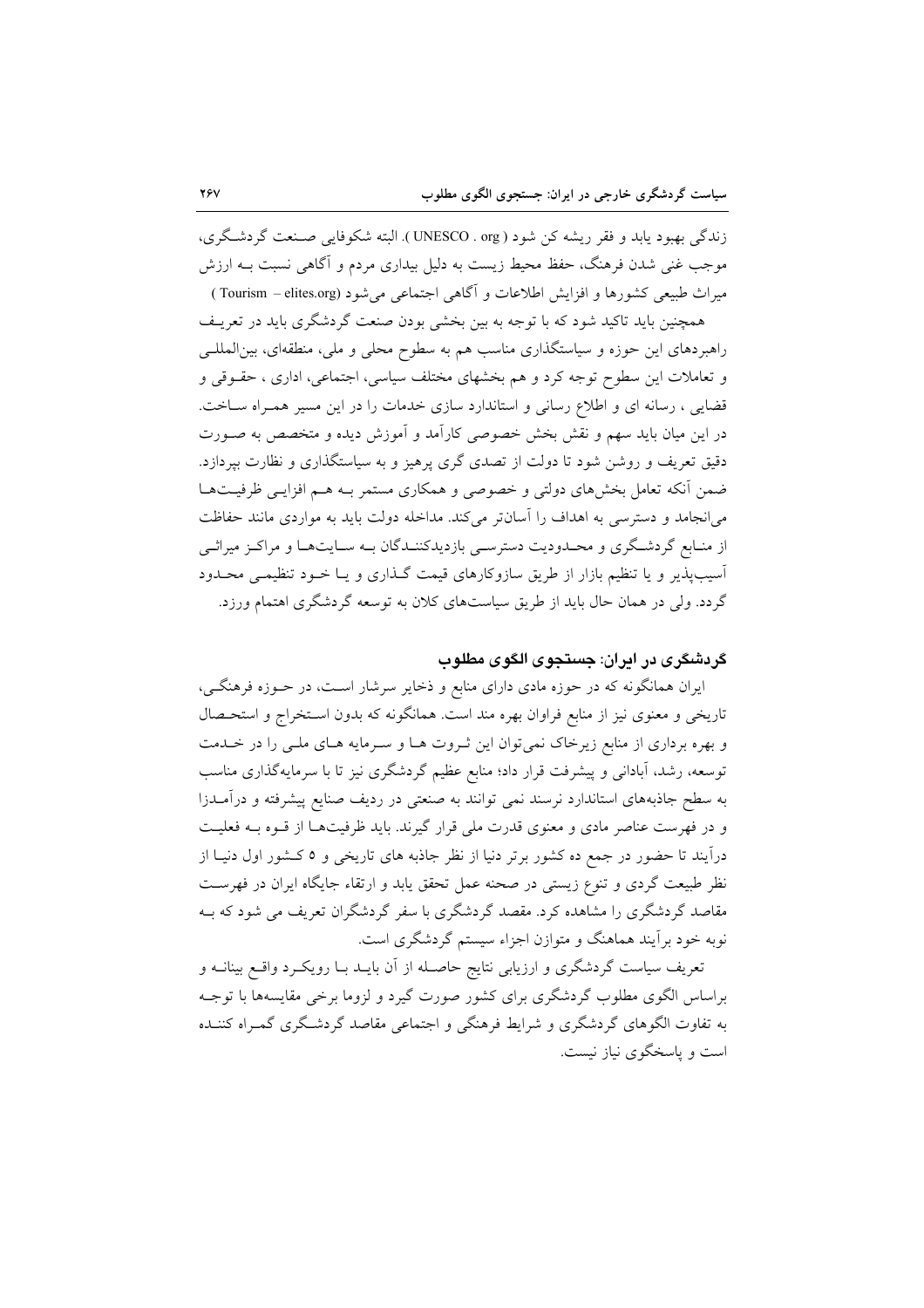زندگي بهبود يابد و فقر ريشه کن شود ( UNESCO . org ). البته شکوفايي صـنعت گردشـگري، موجب غنی شدن فرهنگ، حفظ محیط زیست به دلیل بیداری مردم و آگاهی نسبت بــه ارزش میراث طبیعی کشورها و افزایش اطلاعات و آگاهی اجتماعی می شود (Tourism – elites.org )

همچنین باید تاکید شود که با توجه به بین بخشی بودن صنعت گردشگری باید در تعریـف راهبردهای این حوزه و سیاستگذاری مناسب هم به سطوح محلی و ملی، منطقهای، بین المللـی و تعاملات این سطوح توجه کرد و هم بخشهای مختلف سیاسی، اجتماعی، اداری ، حقـوقی و قضایی ، رسانه ای و اطلاع رسانی و استاندارد سازی خدمات را در این مسیر همـراه سـاخت. در این میان باید سهم و نقش بخش خصوصی کارآمد و آموزش دیده و متخصص به صـورت دقیق تعریف و روشن شود تا دولت از تصدی گری پرهیز و به سیاستگذاری و نظارت بپردازد. ضمن آنکه تعامل بخشهای دولتی و خصوصی و همکاری مستمر بـه هـم افزایـی ظرفیـتهـا می انجامد و دسترسی به اهداف را آسانتر می کند. مداخله دولت باید به مواردی مانند حفاظت از منـابع گردشـگري و محـدوديت دسترسـي بازديدكننـدگان بـه سـايتهـا و مراكـز ميراثـي آسیبپذیر و یا تنظیم بازار از طریق سازوکارهای قیمت گـذاری و یـا خـود تنظیمـی محـدود گردد. ولی در همان حال باید از طریق سیاستهای کلان به توسعه گردشگری اهتمام ورزد.

### گردشگری در ایران: جستجوی الگوی مطلوب

ایران همانگونه که در حوزه مادی دارای منابع و ذخایر سرشار است، در حـوزه فرهنگـی، تاریخی و معنوی نیز از منابع فراوان بهره مند است. همانگونه که بدون استخراج و استحـصال و بهره برداری از منابع زیرخاک نمیتوان این ثـروت هـا و سـرمایه هـای ملـی را در خـدمت توسعه، رشد، آبادانی و پیشرفت قرار داد؛ منابع عظیم گردشگری نیز تا با سرمایهگذاری مناسب به سطح جاذبههای استاندارد نرسند نمی توانند به صنعتی در ردیف صنایع پیشرفته و درآمـدزا و در فهرست عناصر مادي و معنوي قدرت ملي قرار گيرند. بايد ظرفيتها از قـوه بـه فعليـت درآیند تا حضور در جمع ده کشور برتر دنیا از نظر جاذبه های تاریخی و ٥ کـشور اول دنیـا از نظر طبیعت گردی و تنوع زیستی در صحنه عمل تحقق یابد و ارتقاء جایگاه ایران در فهرست مقاصد گردشگری را مشاهده کرد. مقصد گردشگری با سفر گردشگران تعریف می شود که بـه نوبه خود برآیند هماهنگ و متوازن اجزاء سیستم گردشگری است.

تعریف سیاست گردشگری و ارزیابی نتایج حاصـله از آن بایــد بــا رویکــرد واقــع بینانــه و براساس الگوی مطلوب گردشگری برای کشور صورت گیرد و لزوما برخی مقایسهها با توجـه به تفاوت الگوهای گردشگری و شرایط فرهنگی و اجتماعی مقاصد گردشگری گمـراه کننــده است و پاسخگوی نیاز نیست.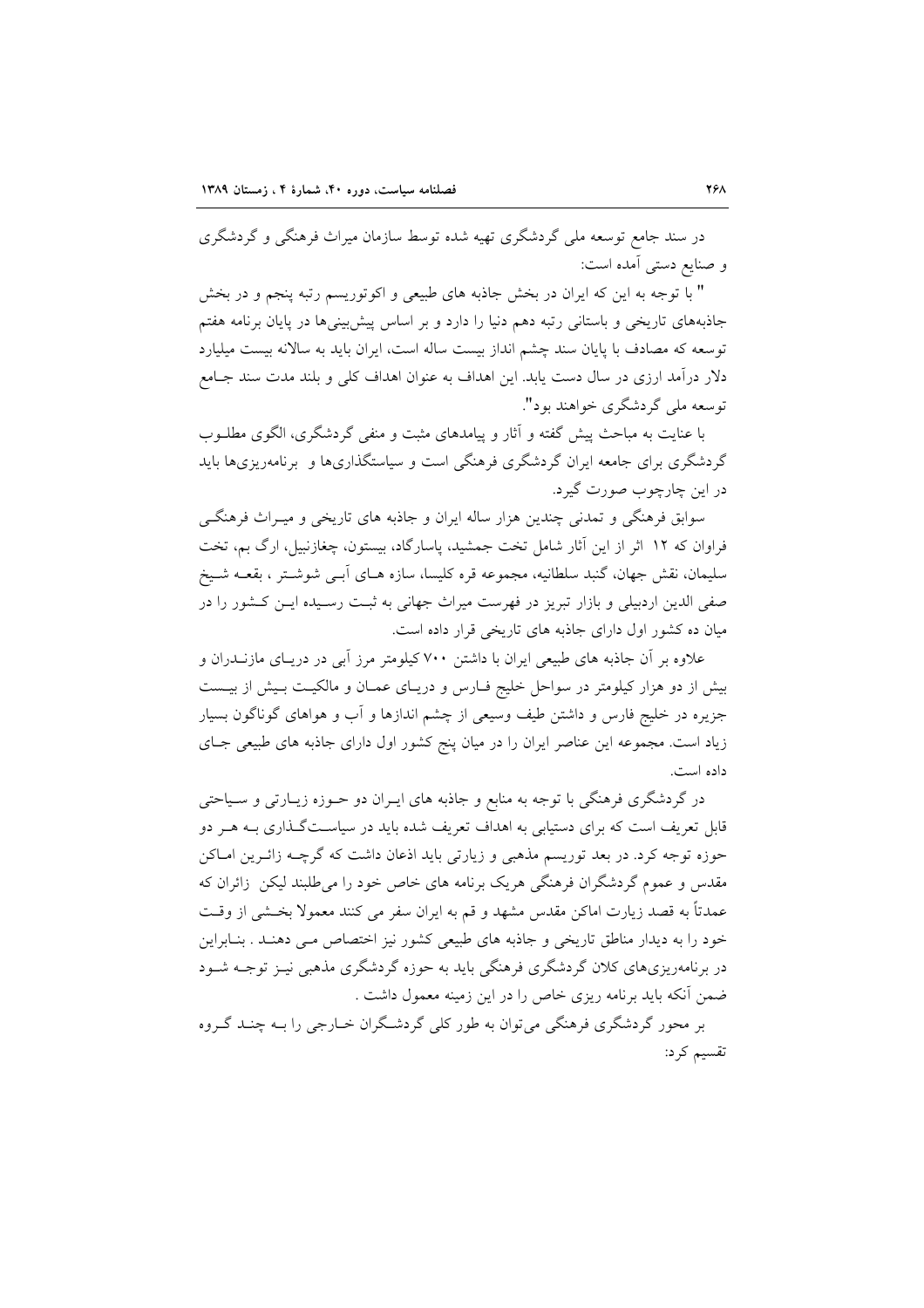در سند جامع توسعه ملی گردشگری تهیه شده توسط سازمان میراث فرهنگی و گردشگری و صنایع دستی آمده است:

" با توجه به این که ایران در بخش جاذبه های طبیعی و اکوتوریسم رتبه پنجم و در بخش جاذبههای تاریخی و باستانی رتبه دهم دنیا را دارد و بر اساس پیش بینیها در پایان برنامه هفتم توسعه که مصادف با پایان سند چشم انداز بیست ساله است، ایران باید به سالانه بیست میلیارد دلار درآمد ارزی در سال دست یابد. این اهداف به عنوان اهداف کلی و بلند مدت سند جـامع توسعه ملي گردشگري خواهند يود".

با عنایت به مباحث پیش گفته و آثار و پیامدهای مثبت و منفی گردشگری، الگوی مطلـوب گردشگری برای جامعه ایران گردشگری فرهنگی است و سیاستگذاریها و برنامهریزیها باید در این چارچوب صورت گیرد.

سوابق فرهنگی و تمدنی چندین هزار ساله ایران و جاذبه های تاریخی و میـراث فرهنگـی فراوان که ۱۲ اثر از این آثار شامل تخت جمشید، پاسارگاد، بیستون، چغازنبیل، ارگ بم، تخت سليمان، نقش جهان، گنبد سلطانيه، مجموعه قره كليسا، سازه هــاي آبــي شوشــتر ، بقعــه شــيخ صفی الدین اردبیلی و بازار تبریز در فهرست میراث جهانی به ثبت رسیده ایـن کـشور را در میان ده کشور اول دارای جاذبه های تاریخی قرار داده است.

علاوه بر آن جاذبه های طبیعی ایران با داشتن ۷۰۰ کیلومتر مرز آبی در دریـای مازنــدران و بیش از دو هزار کیلومتر در سواحل خلیج فـارس و دریـای عمـان و مالکیـت بـیش از بیـست جزیره در خلیج فارس و داشتن طیف وسیعی از چشم اندازها و آب و هواهای گوناگون بسیار زیاد است. مجموعه این عناصر ایران را در میان پنج کشور اول دارای جاذبه های طبیعی جـای داده است.

در گردشگری فرهنگی با توجه به منابع و جاذبه های ایـران دو حــوزه زیــارتی و ســیاحتی قابل تعریف است که برای دستیابی به اهداف تعریف شده باید در سیاسـتگـذاری بــه هــر دو حوزه توجه كرد. در بعد توريسم مذهبي و زيارتي بايد اذعان داشت كه گرچــه زائــرين امــاكن مقدس و عموم گردشگران فرهنگی هریک برنامه های خاص خود را می طلبند لیکن ِ زائران که عمدتاً به قصد زيارت اماكن مقدس مشهد و قم به ايران سفر مي كنند معمولاً بخــشي از وقــت خود را به دیدار مناطق تاریخی و جاذبه های طبیعی کشور نیز اختصاص مبی دهنـد . بنـابراین در برنامهریزیهای کلان گردشگری فرهنگی باید به حوزه گردشگری مذهبی نیـز توجــه شــود ضمن آنکه باید برنامه ریزی خاص را در این زمینه معمول داشت .

بر محور گردشگری فرهنگی می توان به طور کلی گردشگران خبارجی را ببه چنبد گیروه تقسیم کرد: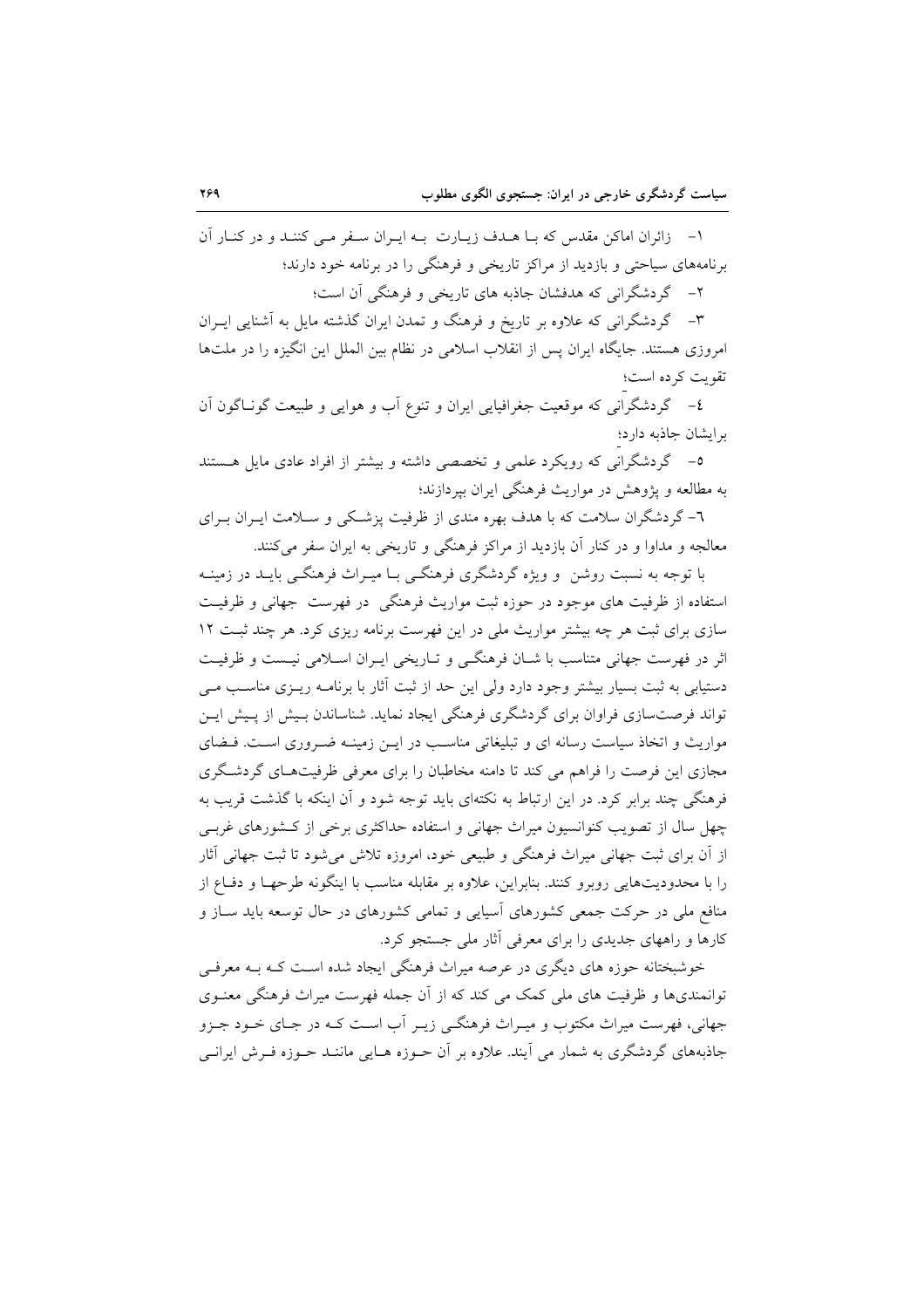۱- زائران اماکن مقدس که بـا هـدف زيـارت بـه ايـران سـفر مـي کننـد و در کنـار آن برنامههای سیاحتی و بازدید از مراکز تاریخی و فرهنگی را در برنامه خود دارند؛

۲- گردشگرانی که هدفشان جاذبه های تاریخی و فرهنگی آن است؛

۳– گردشگرانی که علاوه بر تاریخ و فرهنگ و تمدن ایران گذشته مایل به آشنایی ایـران امروزی هستند. جایگاه ایران پس از انقلاب اسلامی در نظام بین الملل این انگیزه را در ملتها تقويت كرده است؛

٤- گردشگرانی که موقعیت جغرافیایی ایران و تنوع آب و هوایی و طبیعت گونـاگون آن برايشان جاذبه دارد؛

٥- گردشگرانی که رویکرد علمی و تخصصی داشته و بیشتر از افراد عادی مایل هستند به مطالعه و یژوهش در مواریث فرهنگی ایران بیردازند؛

٦- گردشگران سلامت که با هدف بهره مندی از ظرفیت پزشکی و ســلامت ايــران بــرای معالجه و مداوا و در کنار آن بازدید از مراکز فرهنگی و تاریخی به ایران سفر میکنند.

با توجه به نسبت روشن ً و ویژه گردشگری فرهنگــی بــا میــراث فرهنگــی بایــد در زمینــه استفاده از ظرفیت های موجود در حوزه ثبت مواریث فرهنگی در فهرست جهانی و ظرفیت سازی برای ثبت هر چه بیشتر مواریث ملی در این فهرست برنامه ریزی کرد. هر چند ثبت ۱۲ اثر در فهرست جهانی متناسب با شــان فرهنگــی و تــاریخی ایــران اســلامی نیــست و ظرفیــت دستیابی به ثبت بسیار بیشتر وجود دارد ولی این حد از ثبت آثار با برنامـه ریــزی مناسـب مــی تواند فرصتسازی فراوان برای گردشگری فرهنگی ایجاد نماید. شناساندن بـیش از پـیش ایـن مواریث و اتخاذ سیاست رسانه ای و تبلیغاتی مناسب در ایــن زمینــه ضــروری اســت. فــضای مجازی این فرصت را فراهم می کند تا دامنه مخاطبان را برای معرفی ظرفیتهـای گردشـگری فرهنگی چند برابر کرد. در این ارتباط به نکتهای باید توجه شود و آن اینکه با گذشت قریب به چهل سال از تصویب کنوانسیون میراث جهانی و استفاده حداکثری برخی از کـشورهای غربـی از آن برای ثبت جهانی میراث فرهنگی و طبیعی خود، امروزه تلاش می شود تا ثبت جهانی آثار را با محدودیتهایی روبرو کنند. بنابراین، علاوه بر مقابله مناسب با اینگونه طرحهـا و دفـاع از منافع ملی در حرکت جمعی کشورهای آسیایی و تمامی کشورهای در حال توسعه باید ســاز و کارها و راههای جدیدی را برای معرفی آثار ملی جستجو کرد.

خوشبختانه حوزه های دیگری در عرصه میراث فرهنگی ایجاد شده است کـه بـه معرفـی توانمندیها و ظرفیت های ملی کمک می کند که از آن جمله فهرست میراث فرهنگی معنـوی جهانی، فهرست میراث مکتوب و میـراث فرهنگـی زیـر آب اسـت کـه در جـای خـود جـزو جاذبههای گردشگری به شمار می آیند. علاوه بر آن حـوزه هـایی ماننــد حـوزه فـرش ایرانــی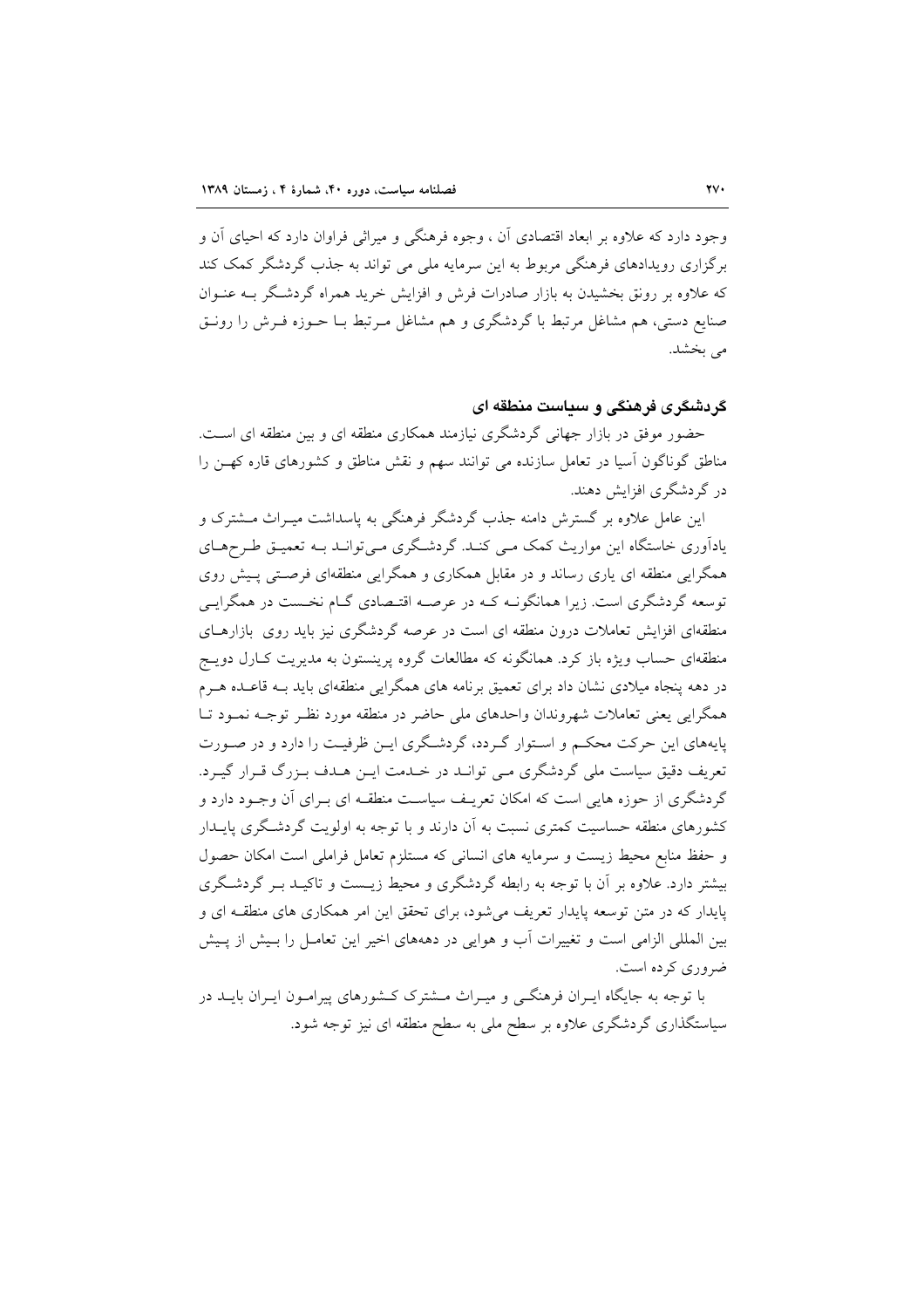وجود دارد که علاوه بر ابعاد اقتصادی آن ، وجوه فرهنگی و میراثی فراوان دارد که احیای آن و برگزاری رویدادهای فرهنگی مربوط به این سرمایه ملی می تواند به جذب گردشگر کمک کند که علاوه بر رونق بخشیدن به بازار صادرات فرش و افزایش خرید همراه گردشگر بـه عنـوان صنایع دستی، هم مشاغل مرتبط با گردشگری و هم مشاغل مـرتبط بــا حــوزه فــرش را رونــق می بخشد.

#### گردشگری فرهنگی و سیاست منطقه ای

حضور موفق در بازار جهانی گردشگری نیازمند همکاری منطقه ای و بین منطقه ای است. مناطق گوناگون آسیا در تعامل سازنده می توانند سهم و نقش مناطق و کشورهای قاره کهـن را در گردشگری افزایش دهند.

این عامل علاوه بر گسترش دامنه جذب گردشگر فرهنگی به پاسداشت میـراث مــشترک و یاداًوری خاستگاه این مواریث کمک مـی کنـد. گردشـگری مـیتوانـد بـه تعمیـق طـرحهـای همگرایی منطقه ای پاری رساند و در مقابل همکاری و همگرایی منطقهای فرصـتی پـیش روی توسعه گردشگری است. زیرا همانگونـه کـه در عرصـه اقتـصادی گـام نخـست در همگرایـی منطقهای افزایش تعاملات درون منطقه ای است در عرصه گردشگری نیز باید روی بازارهـای منطقهای حساب ویژه باز کرد. همانگونه که مطالعات گروه پرینستون به مدیریت کـارل دویــج در دهه پنجاه میلادی نشان داد برای تعمیق برنامه های همگرایی منطقهای باید بـه قاعـده هـرم همگرایی یعنی تعاملات شهروندان واحدهای ملی حاضر در منطقه مورد نظـر توجــه نمــود تــا پایههای این حرکت محکم و استوار گردد، گردشگری ایـن ظرفیـت را دارد و در صـورت تعریف دقیق سیاست ملی گردشگری مـی توانـد در خـدمت ایـن هـدف بـزرگ قـرار گیـرد. گردشگری از حوزه هایی است که امکان تعریـف سیاسـت منطقـه ای بـرای آن وجـود دارد و کشورهای منطقه حساسیت کمتری نسبت به آن دارند و با توجه به اولویت گردشگری پایــدار و حفظ منابع محیط زیست و سرمایه های انسانی که مستلزم تعامل فراملی است امکان حصول بیشتر دارد. علاوه بر آن با توجه به رابطه گردشگری و محیط زیست و تاکیـد بـر گردشـگری پایدار که در متن توسعه پایدار تعریف می شود، برای تحقق این امر همکاری های منطقـه ای و بین المللی الزامی است و تغییرات آب و هوایی در دهههای اخیر این تعامـل را بـیش از پـیش ضروري کړ ده است.

با توجه به جایگاه ایـران فرهنگــی و میـراث مــشترک کــشورهای پیرامــون ایـران بایــد در سیاستگذاری گردشگری علاوه بر سطح ملی به سطح منطقه ای نیز توجه شود.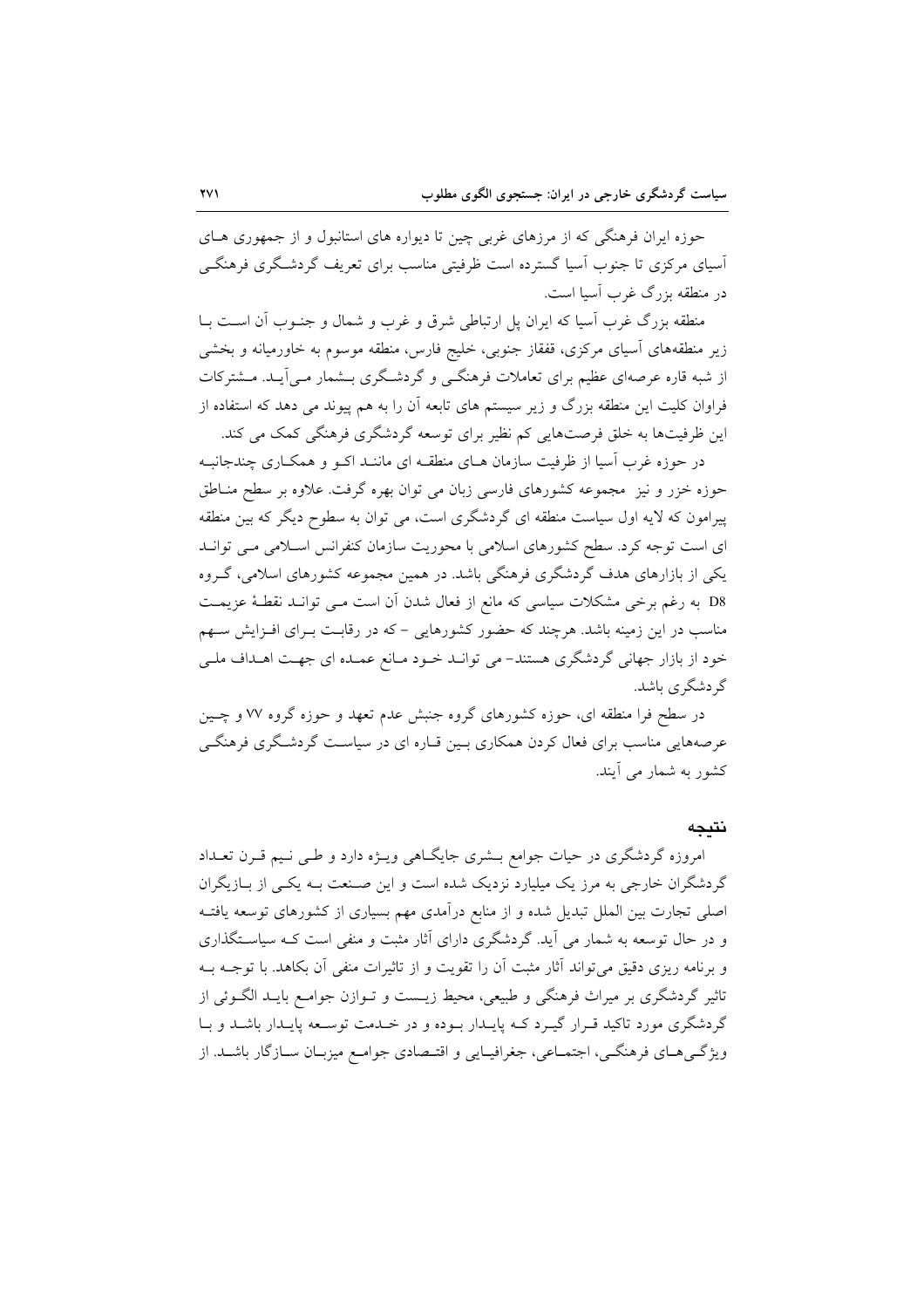حوزه ایران فرهنگی که از مرزهای غربی چین تا دیواره های استانبول و از جمهوری هـای آسیای مرکزی تا جنوب آسیا گسترده است ظرفیتی مناسب برای تعریف گردشگری فرهنگے در منطقه بزرگ غرب آسیا است.

منطقه بزرگ غرب آسیا که ایران پل ارتباطی شرق و غرب و شمال و جنـوب آن اسـت بــا زیر منطقههای آسیای مرکزی، قفقاز جنوبی، خلیج فارس، منطقه موسوم به خاورمیانه و بخشی از شبه قاره عرصهای عظیم برای تعاملات فرهنگی و گردشگری بـشمار مـی]یـد. مـشترکات فراوان کلیت این منطقه بزرگ و زیر سیستم های تابعه آن را به هم پیوند می دهد که استفاده از این ظرفیتها به خلق فرصتهایی کم نظیر برای توسعه گردشگری فرهنگی کمک می کند.

در حوزه غرب اسیا از ظرفیت سازمان هـای منطقـه ای ماننـد اکــو و همکــاری چندجانبـه حوزه خزر و نیز ِ مجموعه کشورهای فارسی زبان می توان بهره گرفت. علاوه بر سطح منــاطق پیرامون که لایه اول سیاست منطقه ای گردشگری است، می توان به سطوح دیگر که بین منطقه ای است توجه کرد. سطح کشورهای اسلامی با محوریت سازمان کنفرانس اسلامی مـی توانـد یکی از بازارهای هدف گردشگری فرهنگی باشد. در همین مجموعه کشورهای اسلامی، گـروه D8 به رغم برخی مشکلات سیاسی که مانع از فعال شدن ان است مـی توانــد نقطـهٔ عزیمــت مناسب در این زمینه باشد. هرچند که حضور کشورهایی – که در رقابت بـرای افـزایش سـهم خود از بازار جهانی گردشگری هستند- می توانـد خـود مـانع عمـده ای جهـت اهـداف ملـی گر دشگر ي باشد.

در سطح فرا منطقه ای، حوزه کشورهای گروه جنبش عدم تعهد و حوزه گروه ۷۷ و چـین عرصههایی مناسب برای فعال کردن همکاری بـین قـاره ای در سیاسـت گردشـگری فرهنگــ ٍ کشور به شمار می آیند.

#### نتيجه

امروزه گردشگری در حیات جوامع بـشری جایگـاهی ویـژه دارد و طـی نـیم قـرن تعـداد گردشگران خارجی به مرز یک میلیارد نزدیک شده است و این صـنعت بــه یکــی از بــازیگران اصلی تجارت بین الملل تبدیل شده و از منابع درآمدی مهم بسیاری از کشورهای توسعه یافتـه و در حال توسعه به شمار می آید. گردشگری دارای آثار مثبت و منفی است کـه سیاسـتگذاری و برنامه ریزی دقیق میتواند آثار مثبت آن را تقویت و از تاثیرات منفی آن بکاهد. با توجـه بـه تاثیر گردشگری بر میراث فرهنگی و طبیعی، محیط زیــست و تــوازن جوامــع بایــد الگــوئی از گردشگری مورد تاکید قـرار گیـرد کـه پایـدار بـوده و در خـدمت توسـعه پایـدار باشـد و بـا ویژگیههای فرهنگی، اجتماعی، جغرافیـایی و اقتـصادی جوامـع میزبـان سـازگار باشـد. از